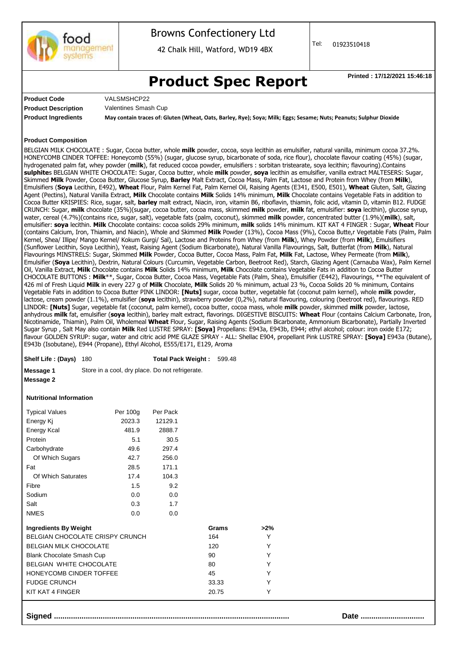

### Browns Confectionery Ltd

42 Chalk Hill, Watford, WD19 4BX

Tel: 01923510418

## **Product Spec Report** Printed : 17/12/2021 15:46:18

**Product Code Product Description** VALSMSHCP22 Valentines Smash Cup

**Product Ingredients May contain traces of: Gluten (Wheat, Oats, Barley, Rye); Soya; Milk; Eggs; Sesame; Nuts; Peanuts; Sulphur Dioxide**

#### **Product Composition**

BELGIAN MILK CHOCOLATE : Sugar, Cocoa butter, whole **milk** powder, cocoa, soya lecithin as emulsifier, natural vanilla, minimum cocoa 37.2%. HONEYCOMB CINDER TOFFEE: Honeycomb (55%) (sugar, glucose syrup, bicarbonate of soda, rice flour), chocolate flavour coating (45%) (sugar, hydrogenated palm fat, whey powder (**milk**), fat reduced cocoa powder, emulsifiers : sorbitan tristearate, soya lecithin; flavouring).Contains **sulphite**s BELGIAN WHITE CHOCOLATE: Sugar, Cocoa butter, whole **milk** powder, **soya** lecithin as emulsifier, vanilla extract MALTESERS: Sugar, Skimmed **Milk** Powder, Cocoa Butter, Glucose Syrup, **Barley** Malt Extract, Cocoa Mass, Palm Fat, Lactose and Protein from Whey (from **Milk**), Emulsifiers (**Soya** Lecithin, E492), **Wheat** Flour, Palm Kernel Fat, Palm Kernel Oil, Raising Agents (E341, E500, E501), **Wheat** Gluten, Salt, Glazing Agent (Pectins), Natural Vanilla Extract, **Milk** Chocolate contains **Milk** Solids 14% minimum, **Milk** Chocolate contains Vegetable Fats in addition to Cocoa Butter KRISPIES: Rice, sugar, salt, **barley** malt extract, Niacin, iron, vitamin B6, riboflavin, thiamin, folic acid, vitamin D, vitamin B12. FUDGE CRUNCH: Sugar, **milk** chocolate (35%)(sugar, cocoa butter, cocoa mass, skimmed **milk** powder, **milk** fat, emulsifier: **soya** lecithin), glucose syrup, water, cereal (4.7%)(contains rice, sugar, salt), vegetable fats (palm, coconut), skimmed **milk** powder, concentrated butter (1.9%)(**milk**), salt, emulsifier: **soya** lecithin. **Milk** Chocolate contains: cocoa solids 29% minimum, **milk** solids 14% minimum. KIT KAT 4 FINGER : Sugar, **Wheat** Flour (contains Calcium, Iron, Thiamin, and Niacin), Whole and Skimmed **Milk** Powder (13%), Cocoa Mass (9%), Cocoa Butte,r Vegetable Fats (Palm, Palm Kernel, Shea/ Illipe/ Mango Kernel/ Kokum Gurgi/ Sal), Lactose and Proteins from Whey (from **Milk**), Whey Powder (from **Milk**), Emulsifiers (Sunflower Lecithin, Soya Lecithin), Yeast, Raising Agent (Sodium Bicarbonate), Natural Vanilla Flavourings, Salt, Butterfat (from **Milk**), Natural Flavourings MINSTRELS: Sugar, Skimmed **Milk** Powder, Cocoa Butter, Cocoa Mass, Palm Fat, **Milk** Fat, Lactose, Whey Permeate (from **Milk**), Emulsifier (**Soya** Lecithin), Dextrin, Natural Colours (Curcumin, Vegetable Carbon, Beetroot Red), Starch, Glazing Agent (Carnauba Wax), Palm Kernel Oil, Vanilla Extract, **Milk** Chocolate contains **Milk** Solids 14% minimum, **Milk** Chocolate contains Vegetable Fats in addition to Cocoa Butter CHOCOLATE BUTTONS : **Milk**\*\*, Sugar, Cocoa Butter, Cocoa Mass, Vegetable Fats (Palm, Shea), Emulsifier (E442), Flavourings, \*\*The equivalent of 426 ml of Fresh Liquid **Milk** in every 227 g of **Milk** Chocolate, **Milk** Solids 20 % minimum, actual 23 %, Cocoa Solids 20 % minimum, Contains Vegetable Fats in addition to Cocoa Butter PINK LINDOR: **[Nuts]** sugar, cocoa butter, vegetable fat (coconut palm kernel), whole **milk** powder, lactose, cream powder (1.1%), emulsifier (**soya** lecithin), strawberry powder (0,2%), natural flavouring, colouring (beetroot red), flavourings. RED LINDOR: **[Nuts]** Sugar, vegetable fat (coconut, palm kernel), cocoa butter, cocoa mass, whole **milk** powder, skimmed **milk** powder, lactose, anhydrous **milk** fat, emulsifier (**soya** lecithin), barley malt extract, flavorings. DIGESTIVE BISCUITS: **Wheat** Flour (contains Calcium Carbonate, Iron, Nicotinamide, Thiamin), Palm Oil, Wholemeal **Wheat** Flour, Sugar, Raising Agents (Sodium Bicarbonate, Ammonium Bicarbonate), Partially Inverted Sugar Syrup , Salt May also contain **Milk** Red LUSTRE SPRAY: **[Soya]** Propellans: E943a, E943b, E944; ethyl alcohol; colour: iron oxide E172; flavour GOLDEN SYRUP: sugar, water and citric acid PME GLAZE SPRAY - ALL: Shellac E904, propellant Pink LUSTRE SPRAY: **[Soya]** E943a (Butane), E943b (Isobutane), E944 (Propane), Ethyl Alcohol, E555/E171, E129, Aroma

| Shelf Life: (Days) 180 |  | Total Pack Weight: 599.48 |  |
|------------------------|--|---------------------------|--|
|------------------------|--|---------------------------|--|

**Message 1** Store in a cool, dry place. Do not refrigerate.

#### **Message 2**

#### **Nutritional Information**

| <b>Typical Values</b> | Per 100g | Per Pack |
|-----------------------|----------|----------|
| Energy Ki             | 2023.3   | 12129.1  |
| Energy Kcal           | 481.9    | 2888.7   |
| Protein               | 5.1      | 30.5     |
| Carbohydrate          | 49.6     | 297.4    |
| Of Which Sugars       | 42.7     | 256.0    |
| Fat                   | 28.5     | 171.1    |
| Of Which Saturates    | 17.4     | 104.3    |
| Fibre                 | 1.5      | 9.2      |
| Sodium                | 0.0      | 0.0      |
| Salt                  | 0.3      | 1.7      |
| <b>NMES</b>           | 0.0      | 0.0      |

| <b>Ingredients By Weight</b>     | Grams | >2%          |  |
|----------------------------------|-------|--------------|--|
| BELGIAN CHOCOLATE CRISPY CRUNCH  | 164   | v            |  |
| <b>BELGIAN MILK CHOCOLATE</b>    | 120   | $\checkmark$ |  |
| <b>Blank Chocolate Smash Cup</b> | 90    | ∨            |  |
| BELGIAN WHITE CHOCOLATE          | 80    | $\checkmark$ |  |
| HONEYCOMB CINDER TOFFEE          | 45    | ∨            |  |
| <b>FUDGE CRUNCH</b>              | 33.33 |              |  |
| KIT KAT 4 FINGER                 | 20.75 |              |  |
|                                  |       |              |  |